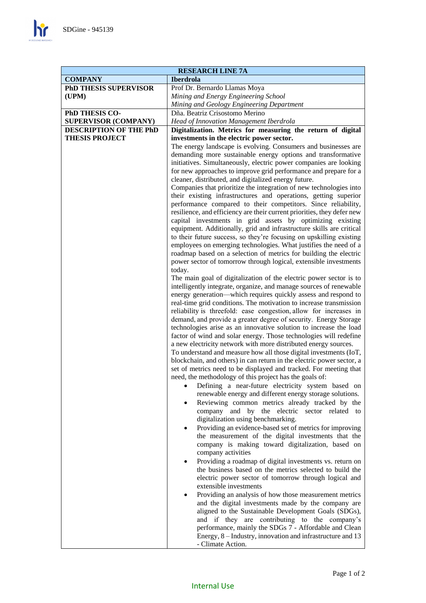$\mathbf{h}$ 

| <b>RESEARCH LINE 7A</b>                                                               |                                                                                                                                                                                                                                                                                                                                                                                                                                                                                                                                                                                                                                                                                                                                                                                                                                                                                                                                                                                                                                                                                                                                                                                                                                                                                                                                                                                                                                                                                                                                                                                                                                                                                                                                                                                                                                                                                                                                                                                                                                                                                                                                                                                                                                                                                                                          |
|---------------------------------------------------------------------------------------|--------------------------------------------------------------------------------------------------------------------------------------------------------------------------------------------------------------------------------------------------------------------------------------------------------------------------------------------------------------------------------------------------------------------------------------------------------------------------------------------------------------------------------------------------------------------------------------------------------------------------------------------------------------------------------------------------------------------------------------------------------------------------------------------------------------------------------------------------------------------------------------------------------------------------------------------------------------------------------------------------------------------------------------------------------------------------------------------------------------------------------------------------------------------------------------------------------------------------------------------------------------------------------------------------------------------------------------------------------------------------------------------------------------------------------------------------------------------------------------------------------------------------------------------------------------------------------------------------------------------------------------------------------------------------------------------------------------------------------------------------------------------------------------------------------------------------------------------------------------------------------------------------------------------------------------------------------------------------------------------------------------------------------------------------------------------------------------------------------------------------------------------------------------------------------------------------------------------------------------------------------------------------------------------------------------------------|
| <b>COMPANY</b>                                                                        | <b>Iberdrola</b>                                                                                                                                                                                                                                                                                                                                                                                                                                                                                                                                                                                                                                                                                                                                                                                                                                                                                                                                                                                                                                                                                                                                                                                                                                                                                                                                                                                                                                                                                                                                                                                                                                                                                                                                                                                                                                                                                                                                                                                                                                                                                                                                                                                                                                                                                                         |
| <b>PhD THESIS SUPERVISOR</b>                                                          | Prof Dr. Bernardo Llamas Moya                                                                                                                                                                                                                                                                                                                                                                                                                                                                                                                                                                                                                                                                                                                                                                                                                                                                                                                                                                                                                                                                                                                                                                                                                                                                                                                                                                                                                                                                                                                                                                                                                                                                                                                                                                                                                                                                                                                                                                                                                                                                                                                                                                                                                                                                                            |
| (UPM)                                                                                 | Mining and Energy Engineering School                                                                                                                                                                                                                                                                                                                                                                                                                                                                                                                                                                                                                                                                                                                                                                                                                                                                                                                                                                                                                                                                                                                                                                                                                                                                                                                                                                                                                                                                                                                                                                                                                                                                                                                                                                                                                                                                                                                                                                                                                                                                                                                                                                                                                                                                                     |
|                                                                                       | Mining and Geology Engineering Department                                                                                                                                                                                                                                                                                                                                                                                                                                                                                                                                                                                                                                                                                                                                                                                                                                                                                                                                                                                                                                                                                                                                                                                                                                                                                                                                                                                                                                                                                                                                                                                                                                                                                                                                                                                                                                                                                                                                                                                                                                                                                                                                                                                                                                                                                |
| PhD THESIS CO-                                                                        | Dña. Beatriz Crisostomo Merino                                                                                                                                                                                                                                                                                                                                                                                                                                                                                                                                                                                                                                                                                                                                                                                                                                                                                                                                                                                                                                                                                                                                                                                                                                                                                                                                                                                                                                                                                                                                                                                                                                                                                                                                                                                                                                                                                                                                                                                                                                                                                                                                                                                                                                                                                           |
|                                                                                       |                                                                                                                                                                                                                                                                                                                                                                                                                                                                                                                                                                                                                                                                                                                                                                                                                                                                                                                                                                                                                                                                                                                                                                                                                                                                                                                                                                                                                                                                                                                                                                                                                                                                                                                                                                                                                                                                                                                                                                                                                                                                                                                                                                                                                                                                                                                          |
|                                                                                       |                                                                                                                                                                                                                                                                                                                                                                                                                                                                                                                                                                                                                                                                                                                                                                                                                                                                                                                                                                                                                                                                                                                                                                                                                                                                                                                                                                                                                                                                                                                                                                                                                                                                                                                                                                                                                                                                                                                                                                                                                                                                                                                                                                                                                                                                                                                          |
|                                                                                       |                                                                                                                                                                                                                                                                                                                                                                                                                                                                                                                                                                                                                                                                                                                                                                                                                                                                                                                                                                                                                                                                                                                                                                                                                                                                                                                                                                                                                                                                                                                                                                                                                                                                                                                                                                                                                                                                                                                                                                                                                                                                                                                                                                                                                                                                                                                          |
| <b>SUPERVISOR (COMPANY)</b><br><b>DESCRIPTION OF THE PhD</b><br><b>THESIS PROJECT</b> | Head of Innovation Management Iberdrola<br>Digitalization. Metrics for measuring the return of digital<br>investments in the electric power sector.<br>The energy landscape is evolving. Consumers and businesses are<br>demanding more sustainable energy options and transformative<br>initiatives. Simultaneously, electric power companies are looking<br>for new approaches to improve grid performance and prepare for a<br>cleaner, distributed, and digitalized energy future.<br>Companies that prioritize the integration of new technologies into<br>their existing infrastructures and operations, getting superior<br>performance compared to their competitors. Since reliability,<br>resilience, and efficiency are their current priorities, they defer new<br>capital investments in grid assets by optimizing existing<br>equipment. Additionally, grid and infrastructure skills are critical<br>to their future success, so they're focusing on upskilling existing<br>employees on emerging technologies. What justifies the need of a<br>roadmap based on a selection of metrics for building the electric<br>power sector of tomorrow through logical, extensible investments<br>today.<br>The main goal of digitalization of the electric power sector is to<br>intelligently integrate, organize, and manage sources of renewable<br>energy generation-which requires quickly assess and respond to<br>real-time grid conditions. The motivation to increase transmission<br>reliability is threefold: ease congestion, allow for increases in<br>demand, and provide a greater degree of security. Energy Storage<br>technologies arise as an innovative solution to increase the load<br>factor of wind and solar energy. Those technologies will redefine<br>a new electricity network with more distributed energy sources.<br>To understand and measure how all those digital investments (IoT,<br>blockchain, and others) in can return in the electric power sector, a<br>set of metrics need to be displayed and tracked. For meeting that<br>need, the methodology of this project has the goals of:<br>Defining a near-future electricity system based on<br>renewable energy and different energy storage solutions.<br>Reviewing common metrics already tracked by the<br>$\bullet$ |
|                                                                                       | company and by the electric sector related to<br>digitalization using benchmarking.                                                                                                                                                                                                                                                                                                                                                                                                                                                                                                                                                                                                                                                                                                                                                                                                                                                                                                                                                                                                                                                                                                                                                                                                                                                                                                                                                                                                                                                                                                                                                                                                                                                                                                                                                                                                                                                                                                                                                                                                                                                                                                                                                                                                                                      |
|                                                                                       | Providing an evidence-based set of metrics for improving<br>the measurement of the digital investments that the<br>company is making toward digitalization, based on<br>company activities                                                                                                                                                                                                                                                                                                                                                                                                                                                                                                                                                                                                                                                                                                                                                                                                                                                                                                                                                                                                                                                                                                                                                                                                                                                                                                                                                                                                                                                                                                                                                                                                                                                                                                                                                                                                                                                                                                                                                                                                                                                                                                                               |
|                                                                                       | Providing a roadmap of digital investments vs. return on<br>٠<br>the business based on the metrics selected to build the<br>electric power sector of tomorrow through logical and<br>extensible investments                                                                                                                                                                                                                                                                                                                                                                                                                                                                                                                                                                                                                                                                                                                                                                                                                                                                                                                                                                                                                                                                                                                                                                                                                                                                                                                                                                                                                                                                                                                                                                                                                                                                                                                                                                                                                                                                                                                                                                                                                                                                                                              |
|                                                                                       | Providing an analysis of how those measurement metrics<br>٠<br>and the digital investments made by the company are<br>aligned to the Sustainable Development Goals (SDGs),<br>and if they are contributing to the company's<br>performance, mainly the SDGs 7 - Affordable and Clean<br>Energy, 8 – Industry, innovation and infrastructure and 13<br>- Climate Action.                                                                                                                                                                                                                                                                                                                                                                                                                                                                                                                                                                                                                                                                                                                                                                                                                                                                                                                                                                                                                                                                                                                                                                                                                                                                                                                                                                                                                                                                                                                                                                                                                                                                                                                                                                                                                                                                                                                                                  |